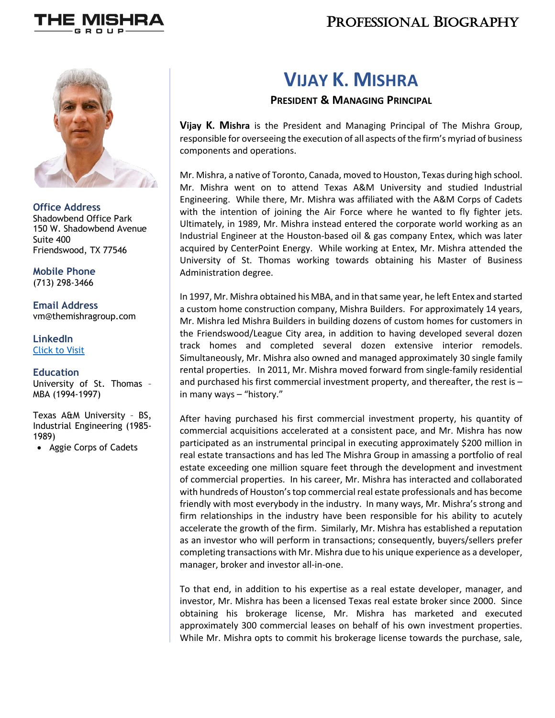

## PROFESSIONAL BIOGRAPHY



**Office Address** Shadowbend Office Park 150 W. Shadowbend Avenue Suite 400 Friendswood, TX 77546

**Mobile Phone** (713) 298-3466

**Email Address** vm@themishragroup.com

**LinkedIn** Click to Visit

#### **Education**

University of St. Thomas – MBA (1994-1997)

Texas A&M University – BS, Industrial Engineering (1985- 1989)

• Aggie Corps of Cadets

# **VIJAY K. MISHRA**

### **PRESIDENT & MANAGING PRINCIPAL**

**Vijay K. Mishra** is the President and Managing Principal of The Mishra Group, responsible for overseeing the execution of all aspects of the firm's myriad of business components and operations.

Mr. Mishra, a native of Toronto, Canada, moved to Houston, Texas during high school. Mr. Mishra went on to attend Texas A&M University and studied Industrial Engineering. While there, Mr. Mishra was affiliated with the A&M Corps of Cadets with the intention of joining the Air Force where he wanted to fly fighter jets. Ultimately, in 1989, Mr. Mishra instead entered the corporate world working as an Industrial Engineer at the Houston-based oil & gas company Entex, which was later acquired by CenterPoint Energy. While working at Entex, Mr. Mishra attended the University of St. Thomas working towards obtaining his Master of Business Administration degree.

In 1997, Mr. Mishra obtained his MBA, and in that same year, he left Entex and started a custom home construction company, Mishra Builders. For approximately 14 years, Mr. Mishra led Mishra Builders in building dozens of custom homes for customers in the Friendswood/League City area, in addition to having developed several dozen track homes and completed several dozen extensive interior remodels. Simultaneously, Mr. Mishra also owned and managed approximately 30 single family rental properties. In 2011, Mr. Mishra moved forward from single-family residential and purchased his first commercial investment property, and thereafter, the rest is – in many ways – "history."

After having purchased his first commercial investment property, his quantity of commercial acquisitions accelerated at a consistent pace, and Mr. Mishra has now participated as an instrumental principal in executing approximately \$200 million in real estate transactions and has led The Mishra Group in amassing a portfolio of real estate exceeding one million square feet through the development and investment of commercial properties. In his career, Mr. Mishra has interacted and collaborated with hundreds of Houston's top commercial real estate professionals and has become friendly with most everybody in the industry. In many ways, Mr. Mishra's strong and firm relationships in the industry have been responsible for his ability to acutely accelerate the growth of the firm. Similarly, Mr. Mishra has established a reputation as an investor who will perform in transactions; consequently, buyers/sellers prefer completing transactions with Mr. Mishra due to his unique experience as a developer, manager, broker and investor all-in-one.

To that end, in addition to his expertise as a real estate developer, manager, and investor, Mr. Mishra has been a licensed Texas real estate broker since 2000. Since obtaining his brokerage license, Mr. Mishra has marketed and executed approximately 300 commercial leases on behalf of his own investment properties. While Mr. Mishra opts to commit his brokerage license towards the purchase, sale,